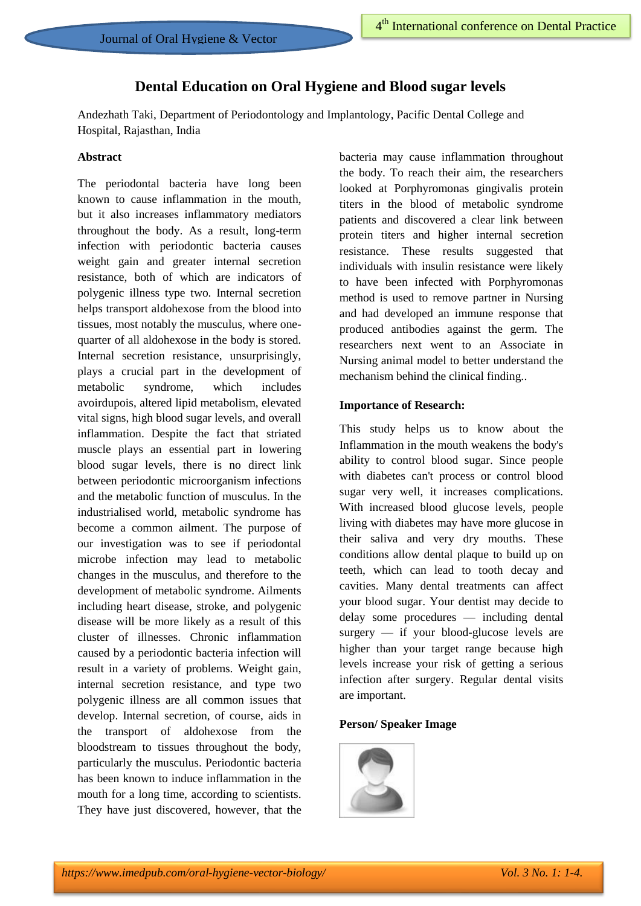# **Dental Education on Oral Hygiene and Blood sugar levels**

Andezhath Taki, Department of Periodontology and Implantology, Pacific Dental College and Hospital, Rajasthan, India

#### **Abstract**

The periodontal bacteria have long been known to cause inflammation in the mouth, but it also increases inflammatory mediators throughout the body. As a result, long-term infection with periodontic bacteria causes weight gain and greater internal secretion resistance, both of which are indicators of polygenic illness type two. Internal secretion helps transport aldohexose from the blood into tissues, most notably the musculus, where onequarter of all aldohexose in the body is stored. Internal secretion resistance, unsurprisingly, plays a crucial part in the development of metabolic syndrome, which includes avoirdupois, altered lipid metabolism, elevated vital signs, high blood sugar levels, and overall inflammation. Despite the fact that striated muscle plays an essential part in lowering blood sugar levels, there is no direct link between periodontic microorganism infections and the metabolic function of musculus. In the industrialised world, metabolic syndrome has become a common ailment. The purpose of our investigation was to see if periodontal microbe infection may lead to metabolic changes in the musculus, and therefore to the development of metabolic syndrome. Ailments including heart disease, stroke, and polygenic disease will be more likely as a result of this cluster of illnesses. Chronic inflammation caused by a periodontic bacteria infection will result in a variety of problems. Weight gain, internal secretion resistance, and type two polygenic illness are all common issues that develop. Internal secretion, of course, aids in the transport of aldohexose from the bloodstream to tissues throughout the body, particularly the musculus. Periodontic bacteria has been known to induce inflammation in the mouth for a long time, according to scientists. They have just discovered, however, that the bacteria may cause inflammation throughout the body. To reach their aim, the researchers looked at Porphyromonas gingivalis protein titers in the blood of metabolic syndrome patients and discovered a clear link between protein titers and higher internal secretion resistance. These results suggested that individuals with insulin resistance were likely to have been infected with Porphyromonas method is used to remove partner in Nursing and had developed an immune response that produced antibodies against the germ. The researchers next went to an Associate in Nursing animal model to better understand the mechanism behind the clinical finding..

## **Importance of Research:**

This study helps us to know about the Inflammation in the mouth weakens the body's ability to control blood sugar. Since people with diabetes can't process or control blood sugar very well, it increases complications. With increased blood glucose levels, people living with diabetes may have more glucose in their saliva and very dry mouths. These conditions allow dental plaque to build up on teeth, which can lead to tooth decay and cavities. Many dental treatments can affect your blood sugar. Your dentist may decide to delay some procedures — including dental surgery — if your blood-glucose levels are higher than your target range because high levels increase your risk of getting a serious infection after surgery. Regular dental visits are important.

# **Person/ Speaker Image**

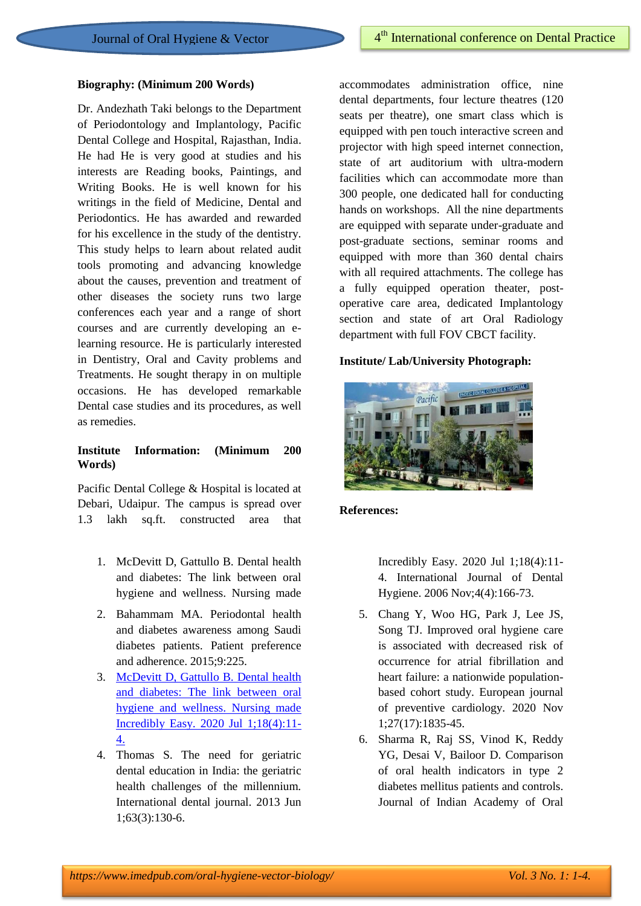#### **Biography: (Minimum 200 Words)**

Dr. Andezhath Taki belongs to the Department of Periodontology and Implantology, Pacific Dental College and Hospital, Rajasthan, India. He had He is very good at studies and his interests are Reading books, Paintings, and Writing Books. He is well known for his writings in the field of Medicine, Dental and Periodontics. He has awarded and rewarded for his excellence in the study of the dentistry. This study helps to learn about related audit tools promoting and advancing knowledge about the causes, prevention and treatment of other diseases the society runs two large conferences each year and a range of short courses and are currently developing an elearning resource. He is particularly interested in Dentistry, Oral and Cavity problems and Treatments. He sought therapy in on multiple occasions. He has developed remarkable Dental case studies and its procedures, as well as remedies.

## **Institute Information: (Minimum 200 Words)**

Pacific Dental College & Hospital is located at Debari, Udaipur. The campus is spread over 1.3 lakh sq.ft. constructed area that

- 1. McDevitt D, Gattullo B. Dental health and diabetes: The link between oral hygiene and wellness. Nursing made
- 2. Bahammam MA. Periodontal health and diabetes awareness among Saudi diabetes patients. Patient preference and adherence. 2015;9:225.
- 3. [McDevitt D, Gattullo B. Dental health](https://www.imedpub.com/oral-hygiene-vector-biology/archive.php)  [and diabetes: The link between oral](https://www.imedpub.com/oral-hygiene-vector-biology/archive.php)  [hygiene and wellness. Nursing made](https://www.imedpub.com/oral-hygiene-vector-biology/archive.php)  [Incredibly Easy. 2020 Jul 1;18\(4\):11-](https://www.imedpub.com/oral-hygiene-vector-biology/archive.php) [4.](https://www.imedpub.com/oral-hygiene-vector-biology/archive.php)
- 4. Thomas S. The need for geriatric dental education in India: the geriatric health challenges of the millennium. International dental journal. 2013 Jun 1;63(3):130-6.

accommodates administration office, nine dental departments, four lecture theatres (120 seats per theatre), one smart class which is equipped with pen touch interactive screen and projector with high speed internet connection, state of art auditorium with ultra-modern facilities which can accommodate more than 300 people, one dedicated hall for conducting hands on workshops. All the nine departments are equipped with separate under-graduate and post-graduate sections, seminar rooms and equipped with more than 360 dental chairs with all required attachments. The college has a fully equipped operation theater, postoperative care area, dedicated Implantology section and state of art Oral Radiology department with full FOV CBCT facility.

#### **Institute/ Lab/University Photograph:**



#### **References:**

Incredibly Easy. 2020 Jul 1;18(4):11- 4. International Journal of Dental Hygiene. 2006 Nov;4(4):166-73.

- 5. Chang Y, Woo HG, Park J, Lee JS, Song TJ. Improved oral hygiene care is associated with decreased risk of occurrence for atrial fibrillation and heart failure: a nationwide populationbased cohort study. European journal of preventive cardiology. 2020 Nov 1;27(17):1835-45.
- 6. Sharma R, Raj SS, Vinod K, Reddy YG, Desai V, Bailoor D. Comparison of oral health indicators in type 2 diabetes mellitus patients and controls. Journal of Indian Academy of Oral